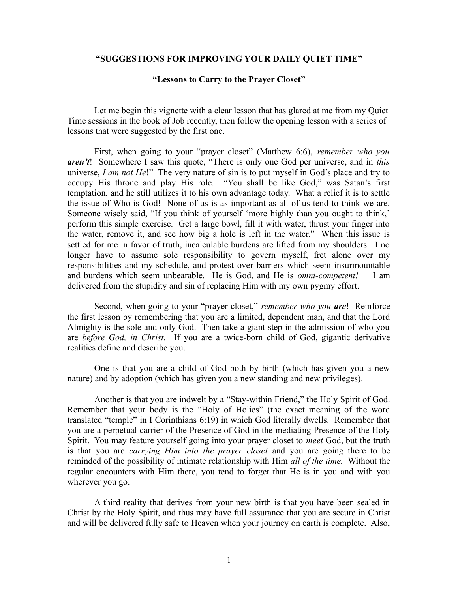## **"SUGGESTIONS FOR IMPROVING YOUR DAILY QUIET TIME"**

## **"Lessons to Carry to the Prayer Closet"**

Let me begin this vignette with a clear lesson that has glared at me from my Quiet Time sessions in the book of Job recently, then follow the opening lesson with a series of lessons that were suggested by the first one.

First, when going to your "prayer closet" (Matthew 6:6), *remember who you aren't*! Somewhere I saw this quote, "There is only one God per universe, and in *this* universe, *I am not He*!" The very nature of sin is to put myself in God's place and try to occupy His throne and play His role. "You shall be like God," was Satan's first temptation, and he still utilizes it to his own advantage today. What a relief it is to settle the issue of Who is God! None of us is as important as all of us tend to think we are. Someone wisely said, "If you think of yourself 'more highly than you ought to think,' perform this simple exercise. Get a large bowl, fill it with water, thrust your finger into the water, remove it, and see how big a hole is left in the water." When this issue is settled for me in favor of truth, incalculable burdens are lifted from my shoulders. I no longer have to assume sole responsibility to govern myself, fret alone over my responsibilities and my schedule, and protest over barriers which seem insurmountable and burdens which seem unbearable. He is God, and He is *omni-competent!* I am delivered from the stupidity and sin of replacing Him with my own pygmy effort.

Second, when going to your "prayer closet," *remember who you are*! Reinforce the first lesson by remembering that you are a limited, dependent man, and that the Lord Almighty is the sole and only God. Then take a giant step in the admission of who you are *before God, in Christ.* If you are a twice-born child of God, gigantic derivative realities define and describe you.

One is that you are a child of God both by birth (which has given you a new nature) and by adoption (which has given you a new standing and new privileges).

Another is that you are indwelt by a "Stay-within Friend," the Holy Spirit of God. Remember that your body is the "Holy of Holies" (the exact meaning of the word translated "temple" in I Corinthians 6:19) in which God literally dwells. Remember that you are a perpetual carrier of the Presence of God in the mediating Presence of the Holy Spirit. You may feature yourself going into your prayer closet to *meet* God, but the truth is that you are *carrying Him into the prayer closet* and you are going there to be reminded of the possibility of intimate relationship with Him *all of the time.* Without the regular encounters with Him there, you tend to forget that He is in you and with you wherever you go.

A third reality that derives from your new birth is that you have been sealed in Christ by the Holy Spirit, and thus may have full assurance that you are secure in Christ and will be delivered fully safe to Heaven when your journey on earth is complete. Also,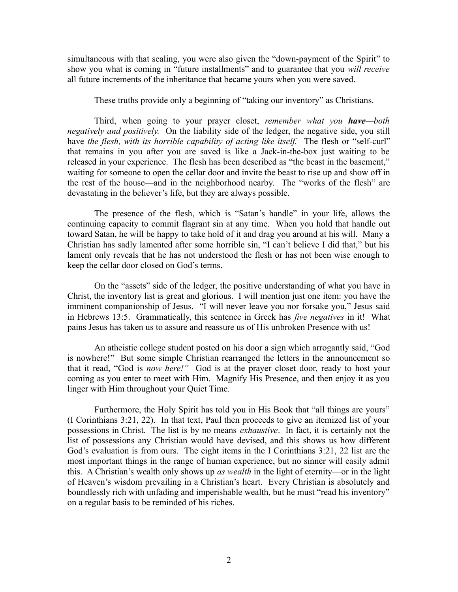simultaneous with that sealing, you were also given the "down-payment of the Spirit" to show you what is coming in "future installments" and to guarantee that you *will receive* all future increments of the inheritance that became yours when you were saved.

These truths provide only a beginning of "taking our inventory" as Christians.

Third, when going to your prayer closet, *remember what you have—both negatively and positively.* On the liability side of the ledger, the negative side, you still have *the flesh, with its horrible capability of acting like itself.* The flesh or "self-curl" that remains in you after you are saved is like a Jack-in-the-box just waiting to be released in your experience. The flesh has been described as "the beast in the basement," waiting for someone to open the cellar door and invite the beast to rise up and show off in the rest of the house—and in the neighborhood nearby. The "works of the flesh" are devastating in the believer's life, but they are always possible.

The presence of the flesh, which is "Satan's handle" in your life, allows the continuing capacity to commit flagrant sin at any time. When you hold that handle out toward Satan, he will be happy to take hold of it and drag you around at his will. Many a Christian has sadly lamented after some horrible sin, "I can't believe I did that," but his lament only reveals that he has not understood the flesh or has not been wise enough to keep the cellar door closed on God's terms.

On the "assets" side of the ledger, the positive understanding of what you have in Christ, the inventory list is great and glorious. I will mention just one item: you have the imminent companionship of Jesus. "I will never leave you nor forsake you," Jesus said in Hebrews 13:5. Grammatically, this sentence in Greek has *five negatives* in it! What pains Jesus has taken us to assure and reassure us of His unbroken Presence with us!

An atheistic college student posted on his door a sign which arrogantly said, "God is nowhere!" But some simple Christian rearranged the letters in the announcement so that it read, "God is *now here!"* God is at the prayer closet door, ready to host your coming as you enter to meet with Him. Magnify His Presence, and then enjoy it as you linger with Him throughout your Quiet Time.

Furthermore, the Holy Spirit has told you in His Book that "all things are yours" (I Corinthians 3:21, 22). In that text, Paul then proceeds to give an itemized list of your possessions in Christ. The list is by no means *exhaustive*. In fact, it is certainly not the list of possessions any Christian would have devised, and this shows us how different God's evaluation is from ours. The eight items in the I Corinthians 3:21, 22 list are the most important things in the range of human experience, but no sinner will easily admit this. A Christian's wealth only shows up *as wealth* in the light of eternity—or in the light of Heaven's wisdom prevailing in a Christian's heart. Every Christian is absolutely and boundlessly rich with unfading and imperishable wealth, but he must "read his inventory" on a regular basis to be reminded of his riches.